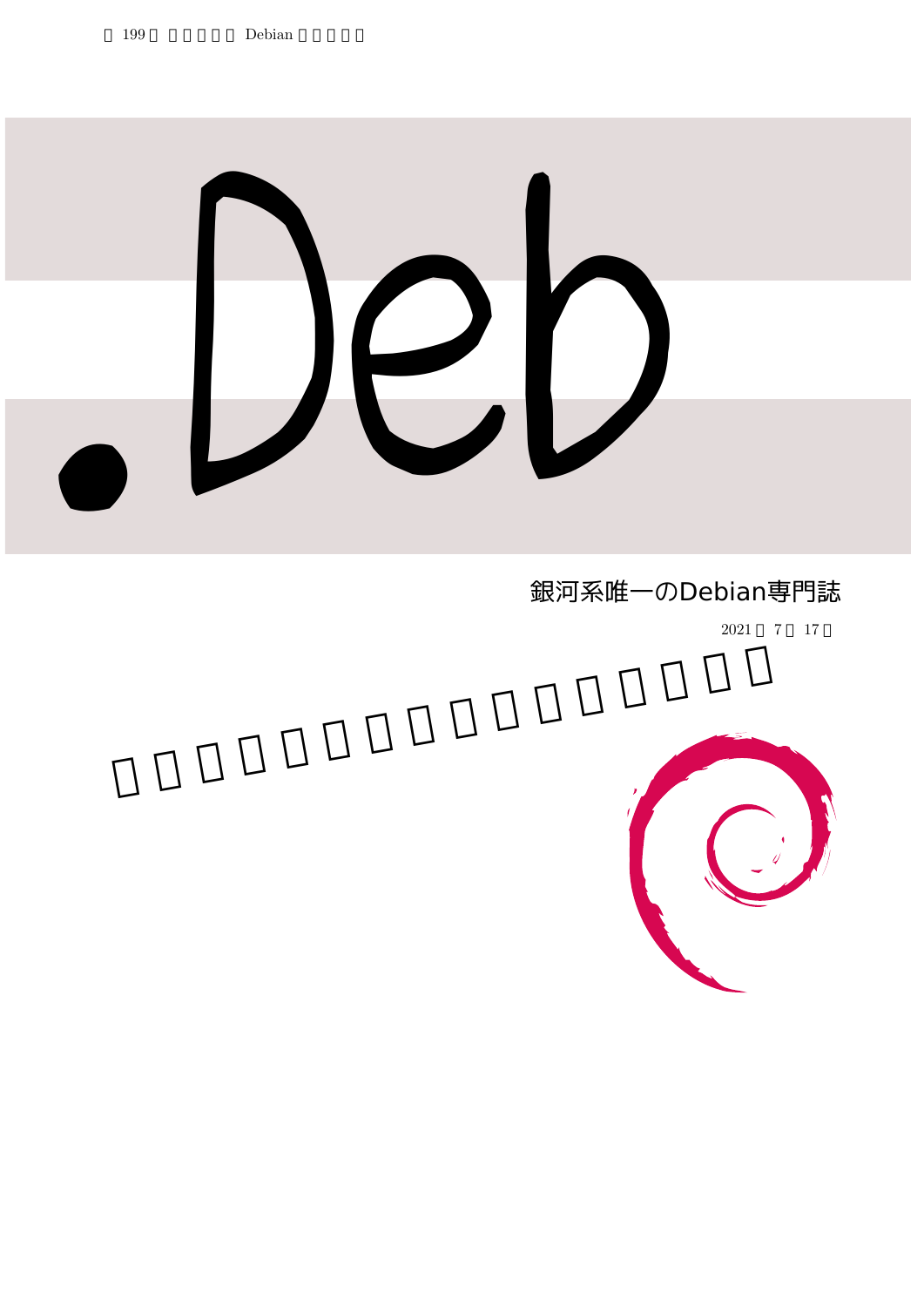

# 銀河系唯一のDebian専門誌

2021 7 17

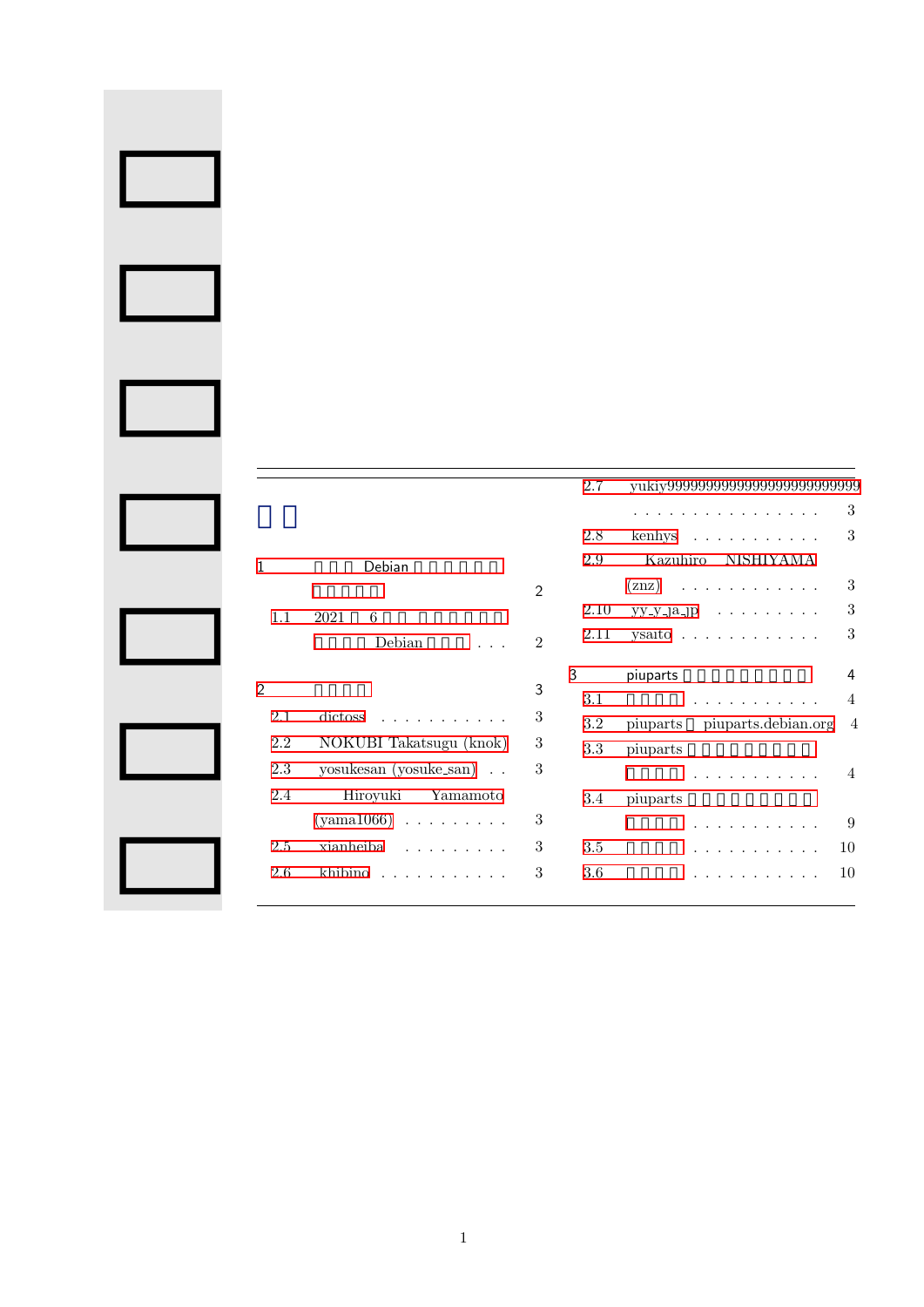|                |                                         |                | 2.7  |                                                             |
|----------------|-----------------------------------------|----------------|------|-------------------------------------------------------------|
|                |                                         |                |      | 3<br>.                                                      |
|                |                                         |                | 2.8  | 3<br>$\text{kenhys} \quad \ldots \quad \ldots \quad \ldots$ |
| 1              | Debian                                  |                | 2.9  | Kazuhiro<br>NISHIYAMA                                       |
|                |                                         | $\mathfrak{D}$ |      | 3<br>$(znz)$                                                |
| 1.1            | 6<br>2021                               |                | 2.10 | 3<br>$yy-y$ -ja-jp                                          |
|                | Debian                                  | $\mathfrak{D}$ | 2.11 | 3<br>ysaito $\ldots \ldots \ldots$                          |
|                |                                         |                | 3    | 4<br>piuparts                                               |
| $\overline{2}$ |                                         | 3              | 3.1  | $\overline{4}$<br>.                                         |
| 2.1            | $dictoss \dots \dots \dots \dots$       | 3              | 3.2  | piuparts piuparts.debian.org<br>$\overline{4}$              |
| 2.2            | NOKUBI Takatsugu (knok)                 | $\sqrt{3}$     | 3.3  | piuparts                                                    |
| 2.3            | yosukesan (yosuke_san)                  | 3              |      | .<br>$\sim$ 4                                               |
| 2.4            | Hiroyuki Yamamoto                       |                | 3.4  | piuparts                                                    |
|                | $(yama1066) \ldots \ldots \ldots$       | 3              |      | 9<br>.                                                      |
| 2.5            | xianheiba                               | 3              | 3.5  | 10                                                          |
| 2.6            | khibino, $\ldots$ , $\ldots$ , $\ldots$ | 3              | 3.6  | 10                                                          |
|                |                                         |                |      |                                                             |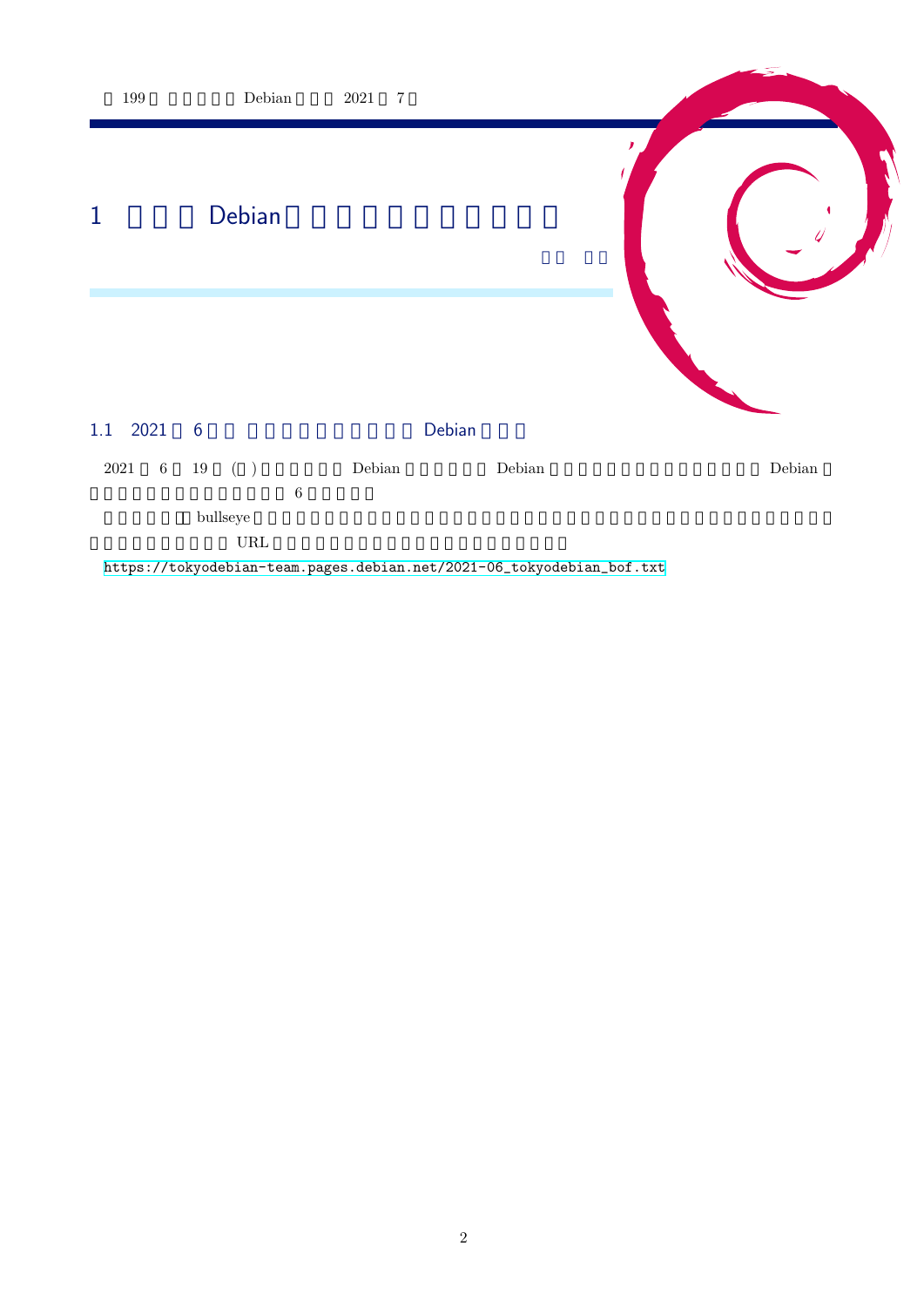<span id="page-2-1"></span><span id="page-2-0"></span>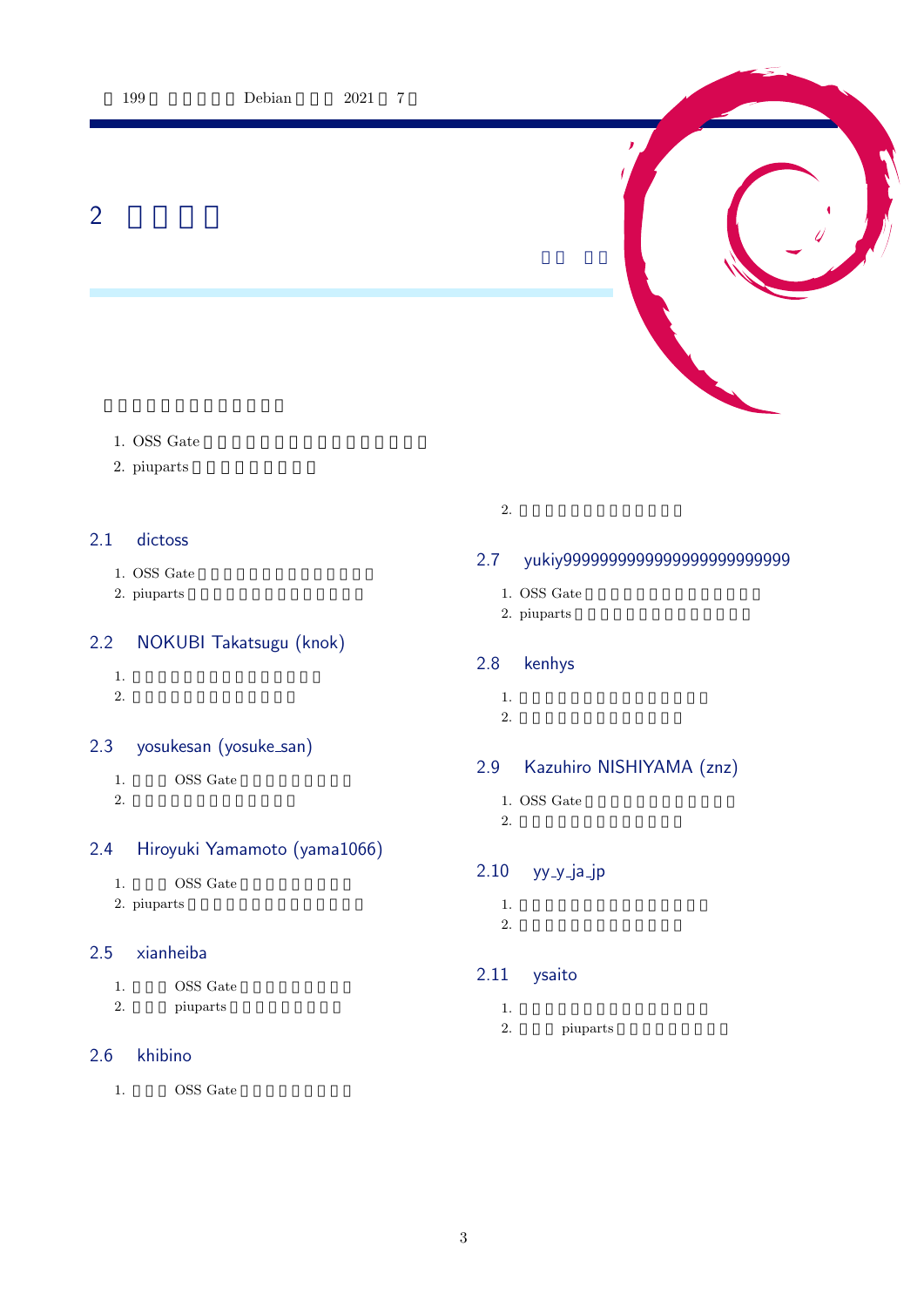<span id="page-3-0"></span>2 事前課題



2. piuparts

# <span id="page-3-1"></span>2.1 dictoss

- 1. OSS Gate
- 2. piuparts

## <span id="page-3-2"></span>2.2 NOKUBI Takatsugu (knok)

- 1.  $\blacksquare$
- 
- $2.$

## <span id="page-3-3"></span>2.3 yosukesan (yosuke\_san)

- 1. OSS Gate
- $2.$

## <span id="page-3-4"></span>2.4 Hiroyuki Yamamoto (yama1066)

- 1. OSS Gate
- 2. piuparts

## 2.5 xianheiba

- 1. OSS Gate
- 2. piuparts

## 2.6 khibino

1. OSS Gate

 $2.$ 

# <span id="page-3-5"></span>2.7 yukiy9999999999999999999999999

- 1. OSS Gate
- 2. piuparts

## <span id="page-3-6"></span>2.8 kenhys

- 1.  $\blacksquare$
- $2.$

## <span id="page-3-7"></span>2.9 Kazuhiro NISHIYAMA (znz)

- 1. OSS Gate
- $2.$

## <span id="page-3-8"></span> $2.10$  yy\_y\_ja\_jp

- 1.  $\blacksquare$
- $2.$

# <span id="page-3-9"></span>2.11 ysaito

- 1.  $\blacksquare$
- 2. piuparts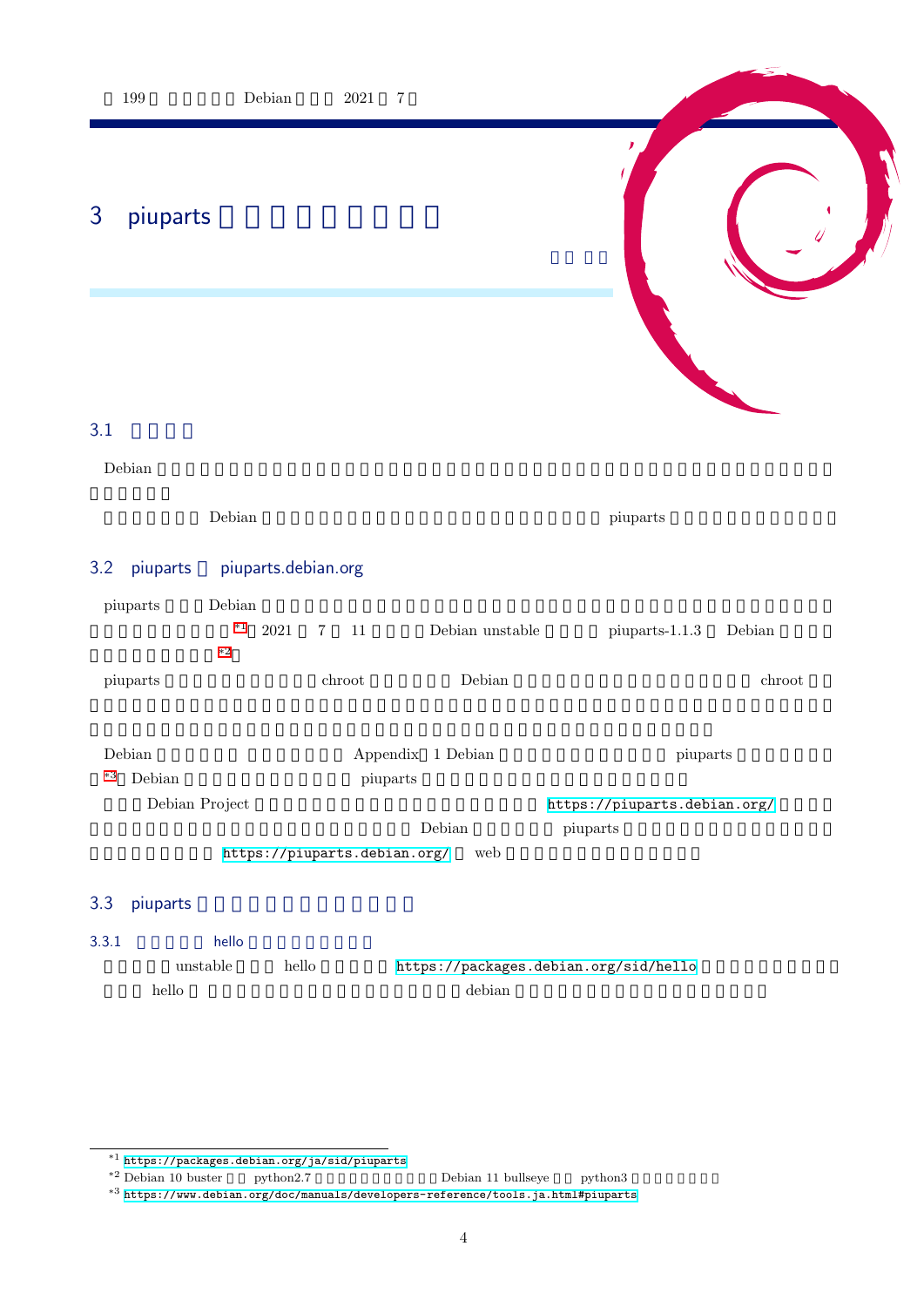<span id="page-4-1"></span><span id="page-4-0"></span>

|          | $199\,$                            |                                     | $\label{eq:Debian} \textbf{Debian}$ | $2021\,$                       | $\,7$    |                                                                                |                                                      |        |
|----------|------------------------------------|-------------------------------------|-------------------------------------|--------------------------------|----------|--------------------------------------------------------------------------------|------------------------------------------------------|--------|
| 3        | piuparts                           |                                     |                                     |                                |          |                                                                                |                                                      |        |
|          |                                    |                                     |                                     |                                |          |                                                                                |                                                      |        |
| 3.1      |                                    |                                     |                                     |                                |          |                                                                                |                                                      |        |
|          | Debian                             |                                     |                                     |                                |          |                                                                                |                                                      |        |
|          |                                    | $\label{eq:Debian} \textbf{Debian}$ |                                     |                                |          |                                                                                | piuparts                                             |        |
| 3.2      | piuparts                           |                                     |                                     | piuparts.debian.org            |          |                                                                                |                                                      |        |
|          | piuparts                           | Debian<br>$^{\ast1}$<br>$\ast 2$    | $2021\,$                            | $\,7$<br>$11\,$                |          | Debian unstable $% \left\vert \left( \mathbf{1}_{\alpha}\right) \right\rangle$ | $piants-1.1.3$                                       | Debian |
|          | piuparts                           |                                     |                                     | $\mathop{\rm chroot}\nolimits$ |          | Debian                                                                         |                                                      | chroot |
| $\ast 3$ | Debian<br>Debian<br>Debian Project |                                     |                                     |                                | piuparts | Appendix 1 Debian<br>Debian                                                    | piuparts<br>https://piuparts.debian.org/<br>piuparts |        |
|          |                                    |                                     |                                     | https://piuparts.debian.org/   |          | web                                                                            |                                                      |        |
| 3.3      | piuparts                           |                                     |                                     |                                |          |                                                                                |                                                      |        |
| 3.3.1    |                                    | hello                               |                                     |                                |          |                                                                                |                                                      |        |
|          | $_{\rm{hello}}$                    | $\it unstable$                      | hello                               |                                |          | $\operatorname{debian}$                                                        | https://packages.debian.org/sid/hello                |        |

<span id="page-4-3"></span><span id="page-4-2"></span> $^{\ast 1}$  https://packages.debian.org/ja/sid/piuparts

 $*^2$  Debian 10 buster python2.7 Debian 11 bullseye python3

<span id="page-4-6"></span><span id="page-4-5"></span><span id="page-4-4"></span><sup>\*3</sup> https://www.debian.org/doc/manuals/developers-reference/tools.ja.html#piuparts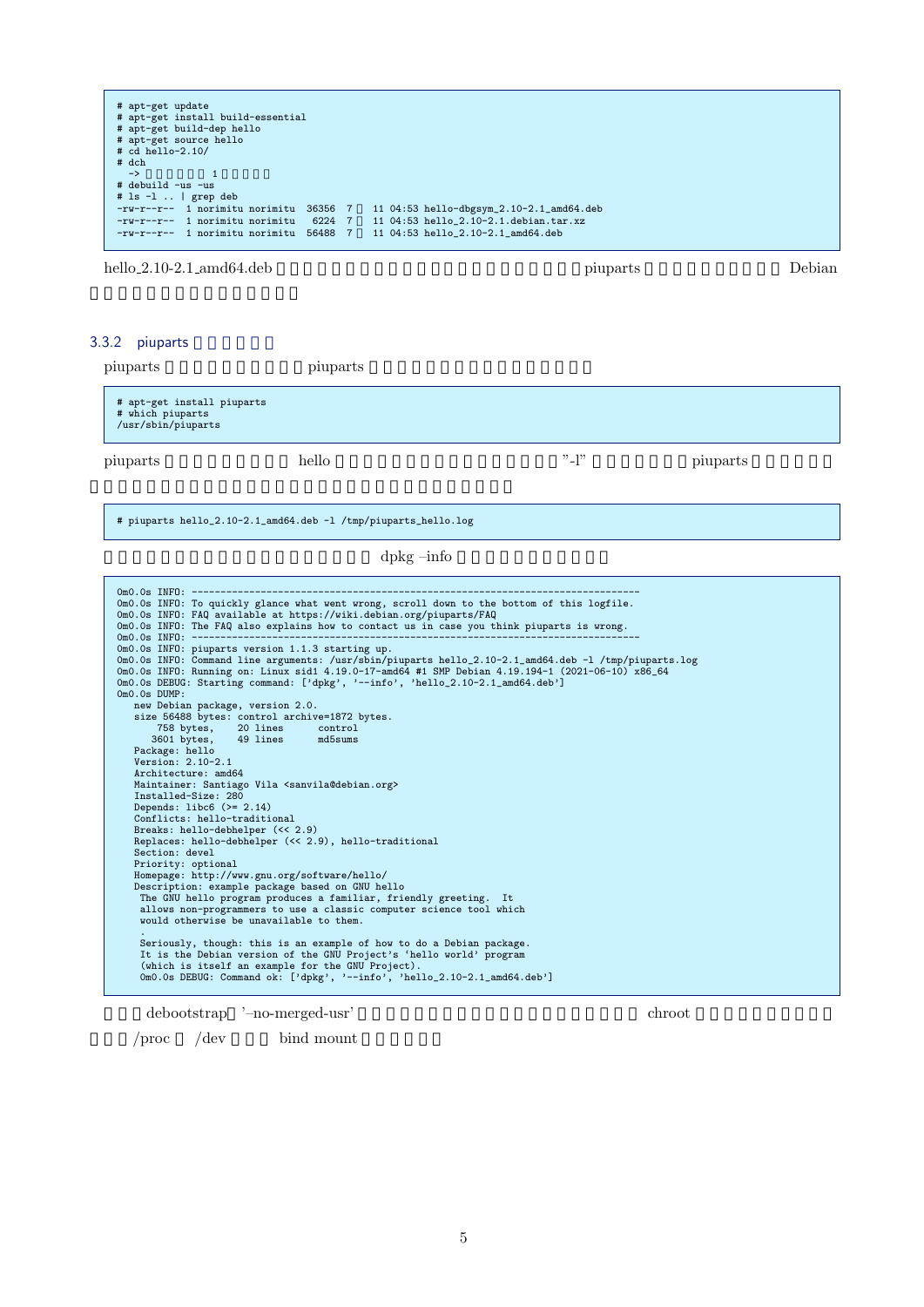| 11 04:53 hello_2.10-2.1.debian.tar.xz<br>-rw-r--r-- 1 norimitu norimitu 6224 7 | # apt-get update<br># apt-get install build-essential<br># apt-get build-dep hello<br># apt-get source hello<br>$# cd$ hello-2.10/<br># dch<br>$\rightarrow$<br># debuild -us -us<br>$#$ 1s $-1$   grep deb<br>-rw-r--r-- 1 norimitu norimitu 36356 7 | 11 04:53 hello-dbgsym_2.10-2.1_amd64.deb |
|--------------------------------------------------------------------------------|-------------------------------------------------------------------------------------------------------------------------------------------------------------------------------------------------------------------------------------------------------|------------------------------------------|
|                                                                                | -rw-r--r-- 1 norimitu norimitu 56488 7                                                                                                                                                                                                                | 11 04:53 hello_2.10-2.1_amd64.deb        |

hello 2.10-2.1 amd64.deb piuparts Debian

#### 3.3.2 piuparts

| piuparts                                                             | piuparts |            |          |
|----------------------------------------------------------------------|----------|------------|----------|
| # apt-get install piuparts<br># which piuparts<br>/usr/sbin/piuparts |          |            |          |
| piuparts                                                             | hello    | $"$ -l $"$ | piuparts |

# piuparts hello\_2.10-2.1\_amd64.deb -l /tmp/piuparts\_hello.log

#### dpkg –info  $\frac{1}{\pi}$

| OmO.Os INFO: To quickly glance what went wrong, scroll down to the bottom of this logfile.            |
|-------------------------------------------------------------------------------------------------------|
| OmO.Os INFO: FAQ available at https://wiki.debian.org/piuparts/FAQ                                    |
| OmO.Os INFO: The FAQ also explains how to contact us in case you think piuparts is wrong.             |
|                                                                                                       |
| OmO.Os INFO: piuparts version 1.1.3 starting up.                                                      |
| OmO.Os INFO: Command line arguments: /usr/sbin/piuparts hello_2.10-2.1_amd64.deb -1 /tmp/piuparts.log |
| 0m0.0s INF0: Running on: Linux sid1 4.19.0-17-amd64 #1 SMP Debian 4.19.194-1 (2021-06-10) x86_64      |
| OmO.Os DEBUG: Starting command: ['dpkg', '--info', 'hello_2.10-2.1_amd64.deb']                        |
| $0m0.0s$ DUMP:                                                                                        |
| new Debian package, version 2.0.                                                                      |
| size 56488 bytes: control archive=1872 bytes.                                                         |
| 758 bytes, 20 lines control                                                                           |
| 3601 bytes, 49 lines md5sums                                                                          |
| Package: hello                                                                                        |
| Version: 2.10-2.1                                                                                     |
| Architecture: amd64                                                                                   |
| Maintainer: Santiago Vila <sanvila@debian.org></sanvila@debian.org>                                   |
| Installed-Size: 280                                                                                   |
| Depends: $libc6$ $(>= 2.14)$                                                                          |
| Conflicts: hello-traditional                                                                          |
| Breaks: hello-debhelper (<< 2.9)                                                                      |
| Replaces: hello-debhelper (<< 2.9), hello-traditional                                                 |
| Section: devel                                                                                        |
| Priority: optional                                                                                    |
| Homepage: http://www.gnu.org/software/hello/                                                          |
| Description: example package based on GNU hello                                                       |
| The GNU hello program produces a familiar, friendly greeting. It                                      |
| allows non-programmers to use a classic computer science tool which                                   |
| would otherwise be unavailable to them.                                                               |
|                                                                                                       |
| Seriously, though: this is an example of how to do a Debian package.                                  |
| It is the Debian version of the GNU Project's 'hello world' program                                   |
| (which is itself an example for the GNU Project).                                                     |
| OmO.Os DEBUG: Command ok: ['dpkg', '--info', 'hello_2.10-2.1_amd64.deb']                              |
|                                                                                                       |
|                                                                                                       |

 ${\rm debootstrap} \quad \rm \lnot \quad -no-merged-usr}$ 

 $\sqrt{\text{proc}}$  /dev bind mount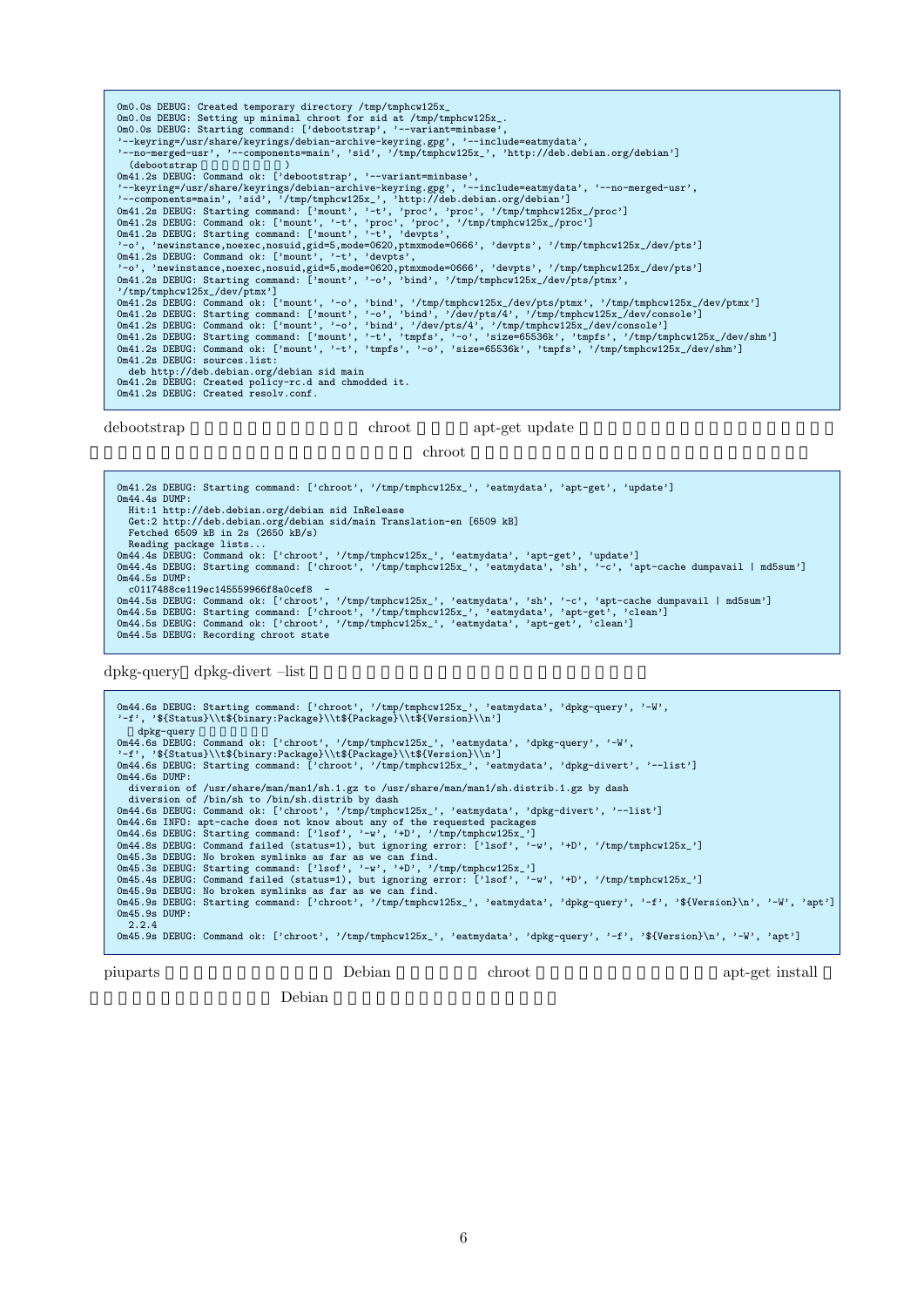0m0.0s DEBUG: Created temporary directory /tmp/tmphcw125x\_ 0m0.0s DEBUG: Setting up minimal chroot for sid at /tmp/tmphcw125x\_. 0m0.0s DEBUG: Starting command: ['debootstrap', '--variant=minbase', '--keyring=/usr/share/keyrings/debian-archive-keyring.gpg', '--include=eatmydata', '--no-merged-usr', '--components=main', 'sid', '/tmp/tmphcw125x\_', 'http://deb.debian.org/debian'] (debootstrap )<br>
0m41.2s DEBUG: Command ok: ['debootstrap', '--variant=minbase',<br>
0m41.2s DEBUG: Starting command: ['mount', '-t', 'proc', 'proc', '/tmp/tmphcw125x\_/proc']<br>
0m41.2s DEBUG: Starting command: ['mount', '-t', ' '-o', 'newinstance,noexec,nosuid,gid=5,mode=0620,ptmxmode=0666', 'devpts', '/tmp/tmphcw125x\_/dev/pts']<br>Om41.2s DEBUG: Starting command: ['mount', '-o', 'bind', '/tmp/tmphcw125x\_/dev/pts/ptmx', '/tmp/tmphcw125x\_/dev/ptmx'] 0m41.2s DEBUG: Command ok: ['mount', '-o', 'bind', '/tmp/tmphcw125x\_/dev/pts/ptmx', '/tmp/tmphcw125x\_/dev/ptmx']<br>0m41.2s DEBUG: Starting command: ['mount', '-o', 'bind', '/dev/pts/4', '/tmp/tmphcw125x\_/dev/console']<br>0m41.2 0m41.2s DEBUG: sources.list: deb http://deb.debian.org/debian sid main 0m41.2s DEBUG: Created policy-rc.d and chmodded it. 0m41.2s DEBUG: Created resolv.conf.

debootstrap chroot apt-get update

 $\mathop{\rm chroot}$ 

0m41.2s DEBUG: Starting command: ['chroot', '/tmp/tmphcw125x\_', 'eatmydata', 'apt-get', 'update'] 0m44.4s DUMP: Hit:1 http://deb.debian.org/debian sid InRelease Get:2 http://deb.debian.org/debian sid/main Translation-en [6509 kB] Fetched 6509 kB in 2s (2650 kB/s) Reading package lists...<br>Om44.4s DEBUG: Command ok: ['chroot', '/tmp/tmphcw125x\_', 'eatmydata', 'apt-get', 'update']<br>Om44.4s DEBUG: Starting command: ['chroot', '/tmp/tmphcw125x\_', 'eatmydata', 'sh', '-c', 'apt-cache dumpa 0m44.5s DUMP: c0117488ce119ec145559966f8a0cef8 - Om44.5s DEBUG: Command ok: ['chroot', '/tmp/tmphcw125x\_', 'eatmydata', 'sh', '-c', 'apt-cache dumpavail | md5sum']<br>Om44.5s DEBUG: Starting command: ['chroot', '/tmp/tmphcw125x\_', 'eatmydata', 'apt-get', 'clean']<br>Om44.5s DE 0m44.5s DEBUG: Recording chroot state

dpkg-query dpkg-divert –list

0m44.6s DEBUG: Starting command: ['chroot', '/tmp/tmphcw125x\_', 'eatmydata', 'dpkg-query', '-W', '-f', '\${Status}\\t\${binary:Package}\\t\${Package}\\t\${Version}\\n'] dpkg-query<br>Om44.6s DEBUG: Command ok: ['chroot', '/tmp/tmphcw125x\_', 'eatmydata', 'dpkg-query', '-W',<br>'-f', '\${Status}\\t\${binary:Package}\\t\${Package}\\t\${Version}\\n']<br>Om44.6s DEBUG: Starting command: ['chroot', '/tmp/tm diversion of /usr/share/man/man1/sh.1.gz to /usr/share/man/man1/sh.distrib.1.gz by dash diversion of /bin/sh to /bin/sh.distrib by dash<br>
Om44.6s DEBUG: Command ok: ['chroot', '/tmp/tmphcw125x\_', 'eatmydata', 'dpkg-divert', '--list']<br>
Om44.6s INFO: apt-cache does not know about any of the requested packages<br>
O Om45.3s DEBUG: No broken symlinks as far as we can find.<br>Om45.3s DEBUG: Starting command: ['lsof', '-w', '+D', '/tmp/tmphcw125x\_']<br>Om45.4s DEBUG: Command failed (status=1), but ignoring error: ['lsof', '-w', '+D', '/tmp/tm 0m45.9s DUMP: 2.2.4 0m45.9s DEBUG: Command ok: ['chroot', '/tmp/tmphcw125x\_', 'eatmydata', 'dpkg-query', '-f', '\${Version}\n', '-W', 'apt']

piuparts Debian Debian chroot apt-get install

Debian  $\sum_{i=1}^{\infty}$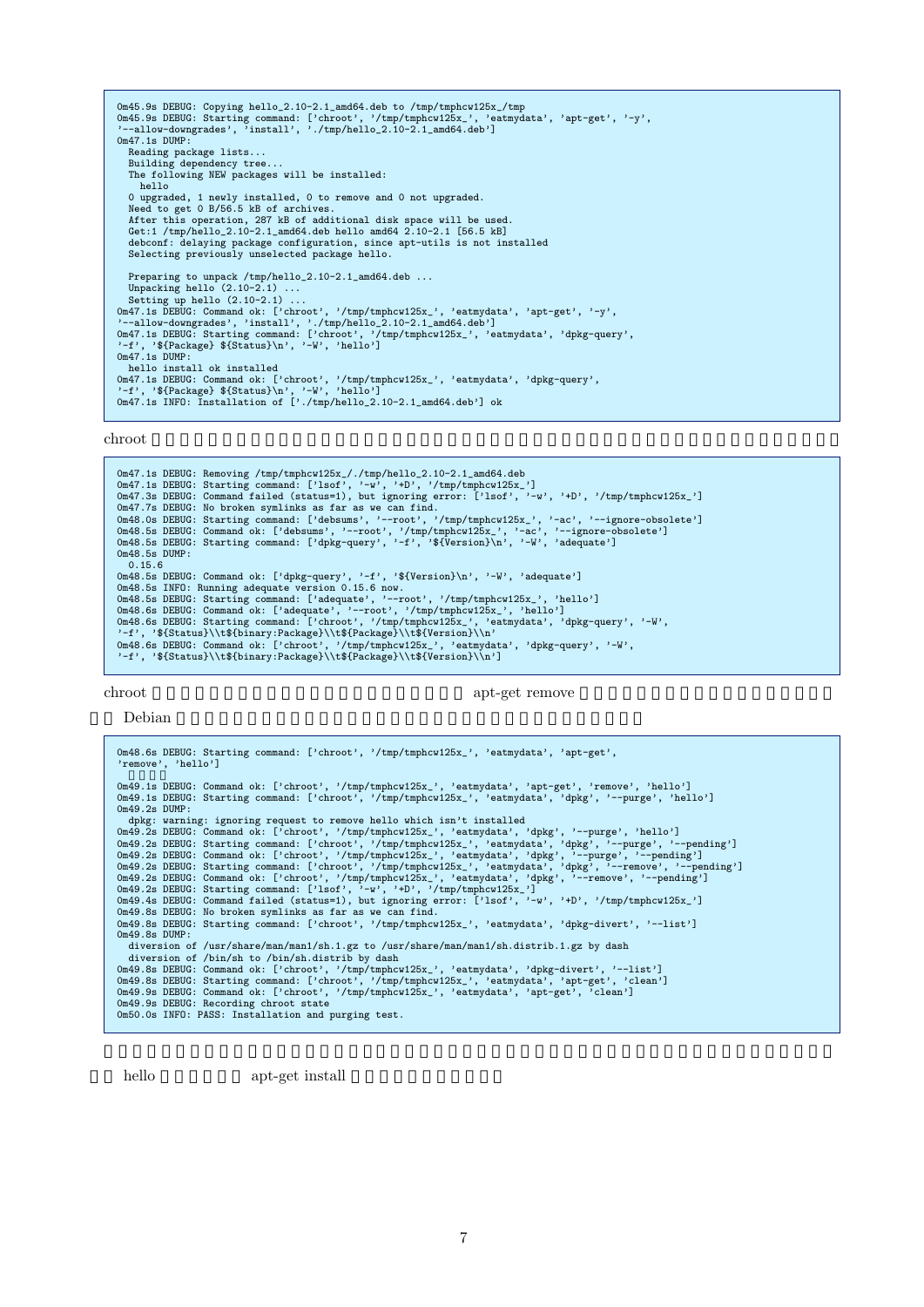```
Om45.9s DEBUG: Copying hello_2.10-2.1_amd64.deb to /tmp/tmphcw125x_/tmp<br>Om45.9s DEBUG: Starting command: ['chroot', '/tmp/tmphcw125x_', 'eatmydata', 'apt-get', '-y',<br>'--allow-downgrades', 'install', './tmp/hello_2.10-2.1_a
0m47.1s DUMP:
   Reading package lists...
    Building dependency tree...
The following NEW packages will be installed:
     hello
   0 upgraded, 1 newly installed, 0 to remove and 0 not upgraded.
    Need to get 0 B/56.5 kB of archives.
After this operation, 287 kB of additional disk space will be used.
Get:1 /tmp/hello_2.10-2.1_amd64.deb hello amd64 2.10-2.1 [56.5 kB]
    debconf: delaying package configuration, since apt-utils is not installed
Selecting previously unselected package hello.
   Preparing to unpack /tmp/hello_2.10-2.1_amd64.deb ...
Unpacking hello (2.10-2.1) ...
Setting up hello (2.10-2.1) ...
0m47.1s DEBUG: Command ok: ['chroot', '/tmp/tmphcw125x_', 'eatmydata', 'apt-get', '-y',
'--allow-downgrades', 'install', './tmp/hello_2.10-2.1_amd64.deb']
0m47.1s DEBUG: Starting command: ['chroot', '/tmp/tmphcw125x_', 'eatmydata', 'dpkg-query',
'-f', '${Package} ${Status}\n', '-W', 'hello']
0m47.1s DUMP:
hello install ok installed
0m47.1s DEBUG: Command ok: ['chroot', '/tmp/tmphcw125x_', 'eatmydata', 'dpkg-query',
'-f', '${Package} ${Status}\n', '-W', 'hello']
0m47.1s INFO: Installation of ['./tmp/hello_2.10-2.1_amd64.deb'] ok
```
chroot  $\chi$ 

Om47.1s DEBUG: Removing /tmp/tmphcw125x\_/./tmp/hello\_2.10-2.1\_amd64.deb<br>Om47.1s DEBUG: Starting command: ['lsof', '-w', '+D', '/tmp/tmphcw125x\_']<br>Om47.3s DEBUG: Command failed (status=1), but ignoring error: ['lsof', '-w', Om47.7s DEBUG: No broken symlinks as far as we can find.<br>Om48.Os DEBUG: Starting command: ['debsums', '--root', '/tmp/tmphcw125x\_', '-ac', '--ignore-obsolete']<br>Om48.5s DEBUG: Command ok: ['debsums', '--root', '/tmp/tmphcw1 0m48.5s DUMP: 0.15.6 0m48.5s DEBUG: Command ok: ['dpkg-query', '-f', '\${Version}\n', '-W', 'adequate'] 0m48.5s INFO: Running adequate version 0.15.6 now. 0m48.5s DEBUG: Starting command: ['adequate', '--root', '/tmp/tmphcw125x\_', 'hello'] Om48.6s DEBUG: Command ok: ['adequate', '--root', '/tmp/tmphcw125x\_', 'hello']<br>Om48.6s DEBUG: Starting command: ['chroot', '/tmp/tmphcw125x\_', 'eatmydata', 'dpkg-query', '-W',<br>'-f', '\${Status}\\t\${binary:Package}\\t\${Packa

chroot apt-get remove

Debian  $\mathcal{D}_{\mathbf{R}}$ 

0m48.6s DEBUG: Starting command: ['chroot', '/tmp/tmphcw125x\_', 'eatmydata', 'apt-get', 'remove', 'hello'] .<br>Om49.1s DEBUG: Command ok: ['chroot', '/tmp/tmphcw125x\_', 'eatmydata', 'apt-get', 'remove', 'hello']<br>Om49.1s DEBUG: Starting command: ['chroot', '/tmp/tmphcw125x\_', 'eatmydata', 'dpkg', '--purge', 'hello'] 0m49.2s DUMP:<br>
dpkg: warning: ignoring request to remove hello which isn't installed<br>
dpkg: warning: ignoring request to remove hello which isn't installed<br>
0m49.2s DEBUG: Command ok: ['chroot', '/tmp/tmphcw125x\_', 'eatmyd 0m49.8s DEBUG: No broken symlinks as far as we can find. 0m49.8s DEBUG: Starting command: ['chroot', '/tmp/tmphcw125x\_', 'eatmydata', 'dpkg-divert', '--list']  $0m49.8s$  DIMP $\cdot$ diversion of /usr/share/man/man1/sh.1.gz to /usr/share/man/man1/sh.distrib.1.gz by dash diversion of /bin/sh to /bin/sh.distrib by dash 0m49.8s DEBUG: Command ok: ['chroot', '/tmp/tmphcw125x\_', 'eatmydata', 'dpkg-divert', '--list']<br>0m49.8s DEBUG: Starting command: ['chroot', '/tmp/tmphcw125x\_', 'eatmydata', 'apt-get', 'clean']<br>0m49.9s DEBUG: Command ok: ['

hello apt-get install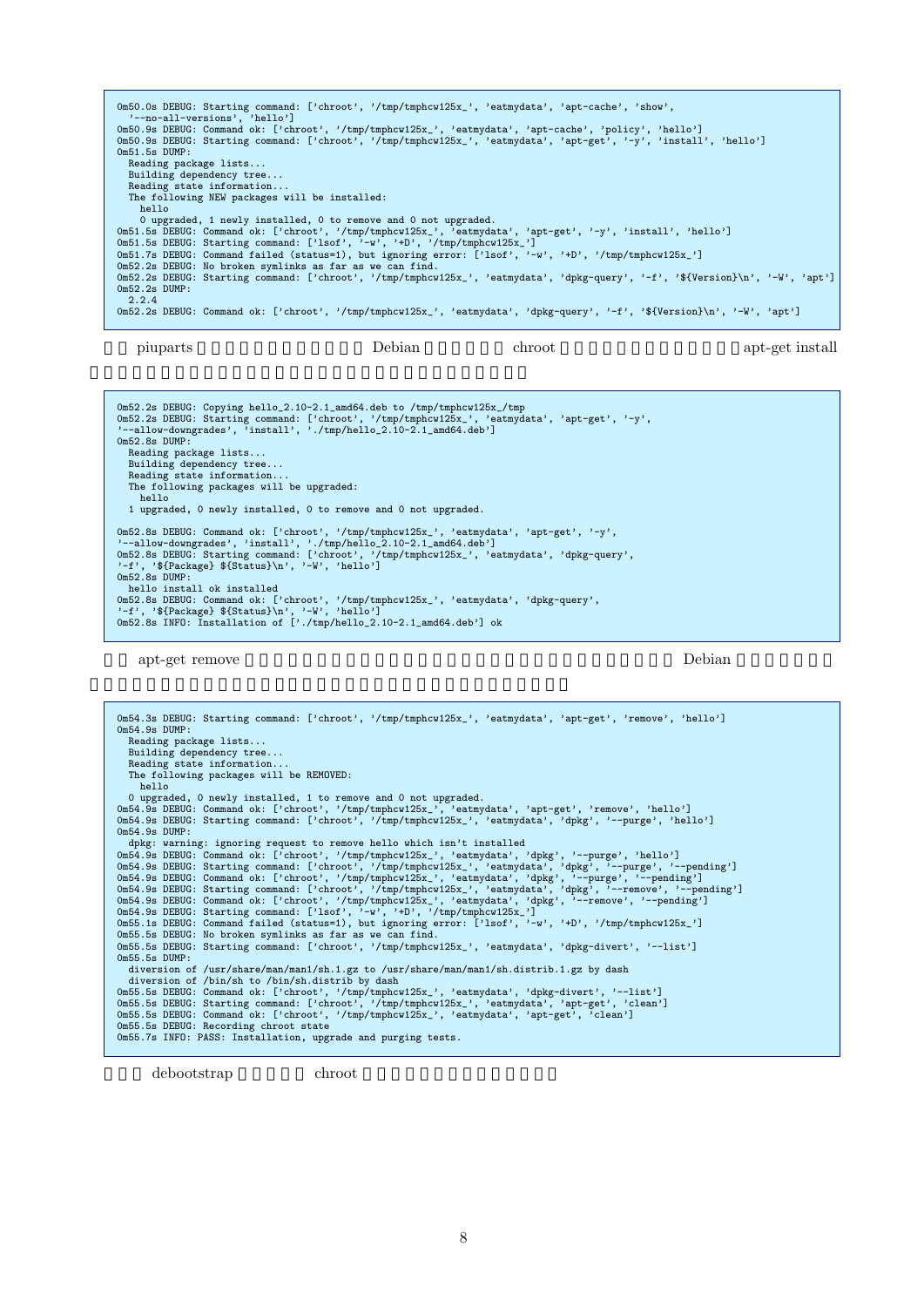| Om50.0s DEBUG: Starting command: ['chroot', '/tmp/tmphcw125x_', 'eatmydata', 'apt-cache', 'show',<br>'--no-all-versions', 'hello'] |
|------------------------------------------------------------------------------------------------------------------------------------|
| Om50.9s DEBUG: Command ok: ['chroot', '/tmp/tmphcw125x_', 'eatmydata', 'apt-cache', 'policy', 'hello']                             |
| Om50.9s DEBUG: Starting command: ['chroot', '/tmp/tmphcw125x_', 'eatmydata', 'apt-get', '-y', 'install', 'hello']                  |
| $0m51.5s$ DUMP:                                                                                                                    |
| Reading package lists                                                                                                              |
| Building dependency tree                                                                                                           |
| Reading state information                                                                                                          |
| The following NEW packages will be installed:                                                                                      |
| hello                                                                                                                              |
| 0 upgraded, 1 newly installed, 0 to remove and 0 not upgraded.                                                                     |
| Om51.5s DEBUG: Command ok: ['chroot', '/tmp/tmphcw125x_', 'eatmydata', 'apt-get', '-y', 'install', 'hello']                        |
| Om51.5s DEBUG: Starting command: ['lsof', '-w', '+D', '/tmp/tmphcw125x_']                                                          |
| Om51.7s DEBUG: Command failed (status=1), but ignoring error: ['lsof', '-w', '+D', '/tmp/tmphcw125x_']                             |
| Om52.2s DEBUG: No broken symlinks as far as we can find.                                                                           |
| Om52.2s DEBUG: Starting command: ['chroot', '/tmp/tmphcw125x_', 'eatmydata', 'dpkg-query', '-f', '\${Version}\n', '-W', 'apt']     |
| $0m52.2s$ DUMP:                                                                                                                    |
| 2.2.4                                                                                                                              |
| Om52.2s DEBUG: Command ok: ['chroot', '/tmp/tmphcw125x_', 'eatmydata', 'dpkg-query', '-f', '\${Version}\n', '-W', 'apt']           |
|                                                                                                                                    |
|                                                                                                                                    |

piuparts Debian Chroot apt-get install

Om52.2s DEBUG: Copying hello\_2.10-2.1\_amd64.deb to /tmp/tmphcw125x\_/tmp<br>Om52.2s DEBUG: Starting command: ['chroot', '/tmp/tmphcw125x\_', 'eatmydata', 'apt-get', '-y',<br>'--allow-downgrades', 'install', './tmp/hello\_2.10-2.1\_a '--allow-downgrades',<br>Om52.8s DUMP: Reading package lists... Building dependency tree... Reading state information... The following packages will be upgraded: hello 1 upgraded, 0 newly installed, 0 to remove and 0 not upgraded. 0m52.8s DEBUG: Command ok: ['chroot', '/tmp/tmphcw125x\_', 'eatmydata', 'apt-get', '-y', '--allow-downgrades', 'install', './tmp/hello\_2.10-2.1\_amd64.deb'] 0m52.8s DEBUG: Starting command: ['chroot', '/tmp/tmphcw125x\_', 'eatmydata', 'dpkg-query', '-f', '\${Package} \${Status}\n', '-W', 'hello'] 0m52.8s DUMP: hello install ok installed<br>Om52.8s DEBUG: Command ok: ['chroot', '/tmp/tmphcw125x\_', 'eatmydata', 'dpkg-query',<br>'-f', '\${Package} \${Status}\n', '-W', 'hello']<br>Om52.8s INFO: Installation of ['./tmp/hello\_2.10-2.1\_amd64.deb'

apt-get remove Debian  $\mathbb{R}^2$ 

0m54.3s DEBUG: Starting command: ['chroot', '/tmp/tmphcw125x\_', 'eatmydata', 'apt-get', 'remove', 'hello']  $0m54$   $9e$  DIMP $\cdot$ Reading package lists... Building dependency tree... Reading state information... The following packages will be REMOVED: hello 0 upgraded, 0 newly installed, 1 to remove and 0 not upgraded. 0m54.9s DEBUG: Command ok: ['chroot', '/tmp/tmphcw125x\_', 'eatmydata', 'apt-get', 'remove', 'hello'] 0m54.9s DEBUG: Starting command: ['chroot', '/tmp/tmphcw125x\_', 'eatmydata', 'dpkg', '--purge', 'hello'] Om54.9s DUMP:<br>
dpg: warning: ignoring request to remove hello which isn't installed<br>
dpm54.9s DEBUG: Command ok: ['chroot','/tmp/tmphcw125x<sub>-</sub>','eatmydata','dpkg','--purge','hello']<br>
Om54.9s DEBUG: Command ok: ['chroot','/ 0m55.5s DUMP: diversion of /usr/share/man/man1/sh.1.gz to /usr/share/man/man1/sh.distrib.1.gz by dash diversion of /bin/sh to /bin/sh.distrib by dash Om55.5s DEBUG: Command ok: ['chroot', '/tmp/tmphcw125x\_', 'eatmydata', 'dpkg-divert', '--list']<br>Om55.5s DEBUG: Starting command: ['chroot', '/tmp/tmphcw125x\_', 'eatmydata', 'apt-get', 'clean']<br>Om55.5s DEBUG: Command ok: [' 0m55.5s DEBUG: Recording chroot state 0m55.7s INFO: PASS: Installation, upgrade and purging tests.

debootstrap chroot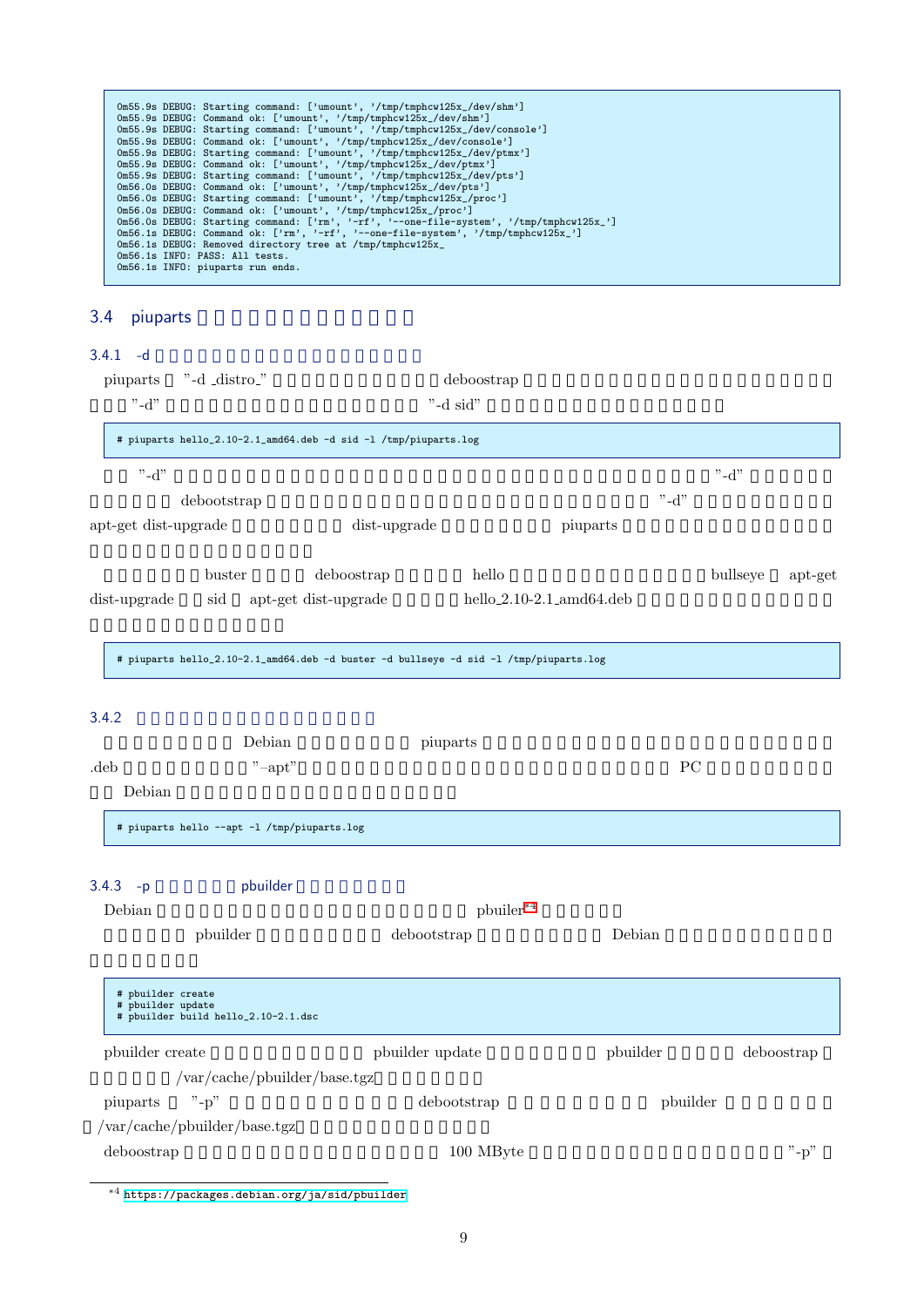| Om55.9s DEBUG: Starting command: ['umount', '/tmp/tmphcw125x_/dev/shm']<br>Om55.9s DEBUG: Command ok: ['umount', '/tmp/tmphcw125x_/dev/shm']<br>Om55.9s DEBUG: Starting command: ['umount', '/tmp/tmphcw125x_/dev/console'] |  |
|-----------------------------------------------------------------------------------------------------------------------------------------------------------------------------------------------------------------------------|--|
|                                                                                                                                                                                                                             |  |
|                                                                                                                                                                                                                             |  |
|                                                                                                                                                                                                                             |  |
| Om55.9s DEBUG: Command ok: ['umount', '/tmp/tmphcw125x_/dev/console']                                                                                                                                                       |  |
| Om55.9s DEBUG: Starting command: ['umount', '/tmp/tmphcw125x_/dev/ptmx']                                                                                                                                                    |  |
| Om55.9s DEBUG: Command ok: ['umount', '/tmp/tmphcw125x_/dev/ptmx']                                                                                                                                                          |  |
| Om55.9s DEBUG: Starting command: ['umount', '/tmp/tmphcw125x_/dev/pts']                                                                                                                                                     |  |
| Om56.0s DEBUG: Command ok: ['umount', '/tmp/tmphcw125x_/dev/pts']                                                                                                                                                           |  |
| Om56.0s DEBUG: Starting command: ['umount', '/tmp/tmphcw125x_/proc']                                                                                                                                                        |  |
| Om56.0s DEBUG: Command ok: ['umount', '/tmp/tmphcw125x_/proc']                                                                                                                                                              |  |
| Om56.0s DEBUG: Starting command: ['rm', '-rf', '--one-file-system', '/tmp/tmphcw125x_']                                                                                                                                     |  |
| Om56.1s DEBUG: Command ok: ['rm', '-rf', '--one-file-system', '/tmp/tmphcw125x_']                                                                                                                                           |  |
| Om56.1s DEBUG: Removed directory tree at /tmp/tmphcw125x_                                                                                                                                                                   |  |
| Om56.1s INFO: PASS: All tests.                                                                                                                                                                                              |  |
| Om56.1s INFO: piuparts run ends.                                                                                                                                                                                            |  |
|                                                                                                                                                                                                                             |  |

# 3.4 piuparts

## $3.4.1 - d$

<span id="page-9-0"></span>

| piuparts<br>$"$ -d"                    | "-d _distro_"                               |                                                                                       | deboostrap<br>"-d sid"   |          |          |          |            |
|----------------------------------------|---------------------------------------------|---------------------------------------------------------------------------------------|--------------------------|----------|----------|----------|------------|
|                                        |                                             | # piuparts hello_2.10-2.1_amd64.deb -d sid -l /tmp/piuparts.log                       |                          |          |          |          |            |
| $"$ -d"                                |                                             |                                                                                       |                          |          |          | $"$ -d"  |            |
|                                        | debootstrap                                 |                                                                                       |                          |          | $"$ -d"  |          |            |
| apt-get dist-upgrade                   |                                             | dist-upgrade                                                                          |                          | piuparts |          |          |            |
|                                        | buster                                      | deboostrap                                                                            | hello                    |          |          | bullseye | apt-get    |
| dist-upgrade                           | sid                                         | apt-get dist-upgrade                                                                  | hello_2.10-2.1_amd64.deb |          |          |          |            |
|                                        |                                             | # piuparts hello_2.10-2.1_amd64.deb -d buster -d bullseye -d sid -l /tmp/piuparts.log |                          |          |          |          |            |
|                                        |                                             |                                                                                       |                          |          |          |          |            |
| 3.4.2                                  | Debian                                      |                                                                                       |                          |          |          |          |            |
| .deb                                   |                                             | piuparts                                                                              |                          |          | PC       |          |            |
| Debian                                 | $"$ -apt"                                   |                                                                                       |                          |          |          |          |            |
|                                        | # piuparts hello --apt -1 /tmp/piuparts.log |                                                                                       |                          |          |          |          |            |
| 3.4.3<br>$-p$                          | pbuilder                                    |                                                                                       |                          |          |          |          |            |
| Debian                                 |                                             |                                                                                       | pbuiler*4                |          |          |          |            |
|                                        | pbuilder                                    | debootstrap                                                                           |                          | Debian   |          |          |            |
| # pbuilder create<br># pbuilder update | # pbuilder build hello_2.10-2.1.dsc         |                                                                                       |                          |          |          |          |            |
| pbuilder create                        |                                             | pbuilder update                                                                       |                          | pbuilder |          |          | deboostrap |
|                                        | $\sqrt{var/cache/pbuilder/base.tgz}$        |                                                                                       |                          |          |          |          |            |
| piuparts                               | $"$ -p"                                     |                                                                                       | debootstrap              |          | pbuilder |          |            |
|                                        | $\sqrt{var/cache/builder/base.tgz}$         |                                                                                       |                          |          |          |          |            |
| deboostrap                             |                                             |                                                                                       | 100 MByte                |          |          |          | $"$ -p"    |

 $^{\ast4}$ https://packages.debian.org/ja/sid/pbuilder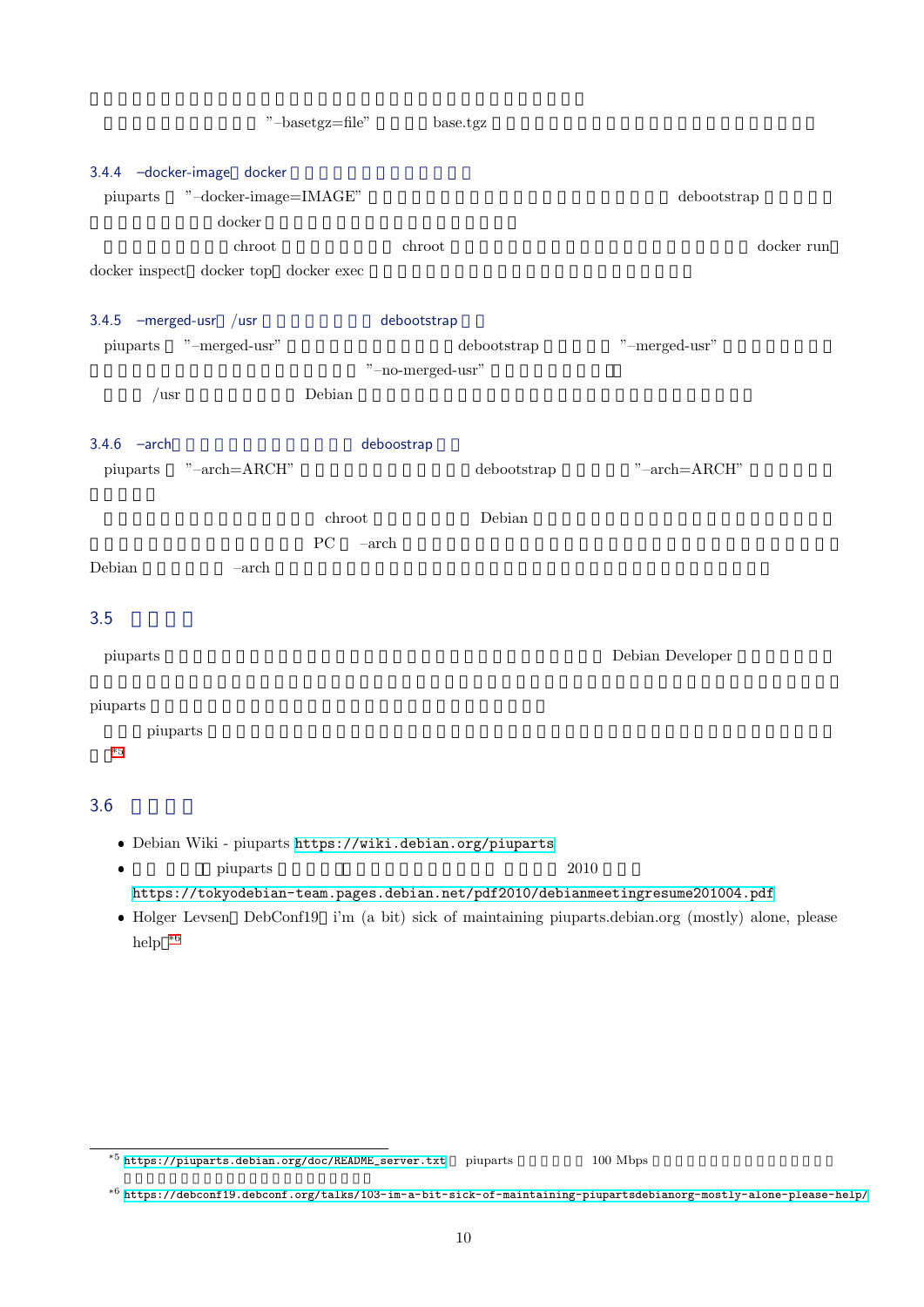#### 3.4.4 -docker-image docker

piuparts "–docker-image=IMAGE"  $40^{\circ}$ docker  $\alpha$ chroot chroot chroot chroot chroot of  $\mathcal{L}$ docker inspect docker top docker exec

#### 3.4.5 –merged-usr /usr **Debootstrap**

piuparts "–merged-usr" debootstrap "–merged-usr"  $\sim$ "–no-merged-usr"  $\mu$ usr Debian  $\mu$ 

#### 3.4.6 –arch: The deboostrap

piuparts "–arch=ARCH" debootstrap "–arch=ARCH"

つまり、異なるアーキテクチャの chroot 環境を構築して Debian パッケージのインストールテストを実行するこ とができます。ただ、テストする PC –arch オプションに指定したアーキテクチャで動作する環境であること、

Debian – –arch <del>–arch  $\alpha$  –arch  $\alpha$  –arch  $\alpha$ </del>

## $3.5$

piuparts **Example 2019** Pebian Developer  $\Gamma$ 

#### piuparts

い。\*5

piuparts コマンド しゅうしゅう しゅうしゅう しゅうしゅう しゅうしゅう しゅうしゅう しゅうしゅう しゅうしゅう しゅうしゅうしゅう しゅうしゅく しゅうしゅく しゅうしゅく しゅうしゅく

#### $3.6$

Debian Wiki - piuparts https://wiki.debian.org/piuparts

 $\bullet$ piuparts 2010

https://tokyodebian-team.pages.debian.net/pdf2010/debianmeetingresume201004.pdf

 Holger Levsen DebConf19 [i'm \(a bit\) sick of maintaining p](https://wiki.debian.org/piuparts)iuparts.debian.org (mostly) alone, please help $\,^{\ast 6}$ 

 $^{*5}$  https://piuparts.debian.org/doc/README\_server.txt piuparts  $100$  Mbps

<span id="page-10-0"></span><sup>\*6</sup> https://debconf19.debconf.org/talks/103-im-a-bit-sick-of-maintaining-piupartsdebianorg-mostly-alone-please-help/